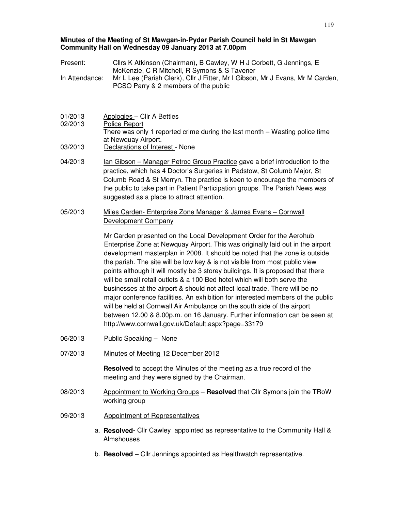#### **Minutes of the Meeting of St Mawgan-in-Pydar Parish Council held in St Mawgan Community Hall on Wednesday 09 January 2013 at 7.00pm**

- Present: Cllrs K Atkinson (Chairman), B Cawley, W H J Corbett, G Jennings, E McKenzie, C R Mitchell, R Symons & S Tavener In Attendance: Mr L Lee (Parish Clerk), Cllr J Fitter, Mr I Gibson, Mr J Evans, Mr M Carden, PCSO Parry & 2 members of the public
- 01/2013 Apologies Cllr A Bettles 02/2013 Police Report There was only 1 reported crime during the last month – Wasting police time at Newquay Airport. 03/2013 Declarations of Interest - None
- 04/2013 **Ign Gibson Manager Petroc Group Practice gave a brief introduction to the** practice, which has 4 Doctor's Surgeries in Padstow, St Columb Major, St Columb Road & St Merryn. The practice is keen to encourage the members of the public to take part in Patient Participation groups. The Parish News was suggested as a place to attract attention.
- 05/2013 Miles Carden- Enterprise Zone Manager & James Evans Cornwall Development Company

Mr Carden presented on the Local Development Order for the Aerohub Enterprise Zone at Newquay Airport. This was originally laid out in the airport development masterplan in 2008. It should be noted that the zone is outside the parish. The site will be low key & is not visible from most public view points although it will mostly be 3 storey buildings. It is proposed that there will be small retail outlets & a 100 Bed hotel which will both serve the businesses at the airport & should not affect local trade. There will be no major conference facilities. An exhibition for interested members of the public will be held at Cornwall Air Ambulance on the south side of the airport between 12.00 & 8.00p.m. on 16 January. Further information can be seen at http://www.cornwall.gov.uk/Default.aspx?page=33179

- 06/2013 Public Speaking None
- 07/2013 Minutes of Meeting 12 December 2012

**Resolved** to accept the Minutes of the meeting as a true record of the meeting and they were signed by the Chairman.

- 08/2013 Appointment to Working Groups **Resolved** that Cllr Symons join the TRoW working group
- 09/2013 Appointment of Representatives
	- a. **Resolved** Cllr Cawley appointed as representative to the Community Hall & Almshouses
	- b. **Resolved** Cllr Jennings appointed as Healthwatch representative.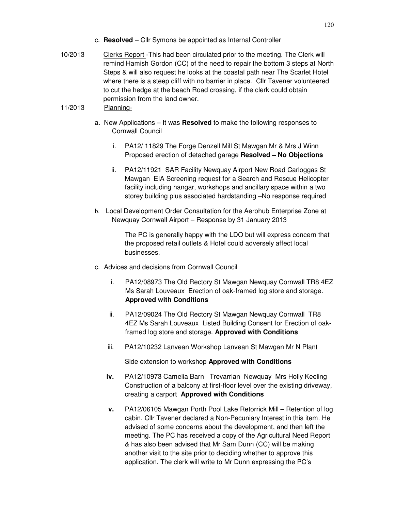- c. **Resolved**  Cllr Symons be appointed as Internal Controller
- 10/2013 Clerks Report -This had been circulated prior to the meeting. The Clerk will remind Hamish Gordon (CC) of the need to repair the bottom 3 steps at North Steps & will also request he looks at the coastal path near The Scarlet Hotel where there is a steep cliff with no barrier in place. Cllr Tavener volunteered to cut the hedge at the beach Road crossing, if the clerk could obtain permission from the land owner.

# 11/2013 Planning-

- a. New Applications It was **Resolved** to make the following responses to Cornwall Council
	- i. PA12/ 11829 The Forge Denzell Mill St Mawgan Mr & Mrs J Winn Proposed erection of detached garage **Resolved – No Objections**
	- ii. PA12/11921 SAR Facility Newquay Airport New Road Carloggas St Mawgan EIA Screening request for a Search and Rescue Helicopter facility including hangar, workshops and ancillary space within a two storey building plus associated hardstanding –No response required
- b. Local Development Order Consultation for the Aerohub Enterprise Zone at Newquay Cornwall Airport – Response by 31 January 2013

The PC is generally happy with the LDO but will express concern that the proposed retail outlets & Hotel could adversely affect local businesses.

- c. Advices and decisions from Cornwall Council
	- i. PA12/08973 The Old Rectory St Mawgan Newquay Cornwall TR8 4EZ Ms Sarah Louveaux Erection of oak-framed log store and storage. **Approved with Conditions**
	- ii. PA12/09024 The Old Rectory St Mawgan Newquay Cornwall TR8 4EZ Ms Sarah Louveaux Listed Building Consent for Erection of oakframed log store and storage. **Approved with Conditions**
	- iii. PA12/10232 Lanvean Workshop Lanvean St Mawgan Mr N Plant

Side extension to workshop **Approved with Conditions**

- **iv.** PA12/10973 Camelia Barn Trevarrian Newquay Mrs Holly Keeling Construction of a balcony at first-floor level over the existing driveway, creating a carport **Approved with Conditions**
- **v.** PA12/06105 Mawgan Porth Pool Lake Retorrick Mill Retention of log cabin. Cllr Tavener declared a Non-Pecuniary Interest in this item. He advised of some concerns about the development, and then left the meeting. The PC has received a copy of the Agricultural Need Report & has also been advised that Mr Sam Dunn (CC) will be making another visit to the site prior to deciding whether to approve this application. The clerk will write to Mr Dunn expressing the PC's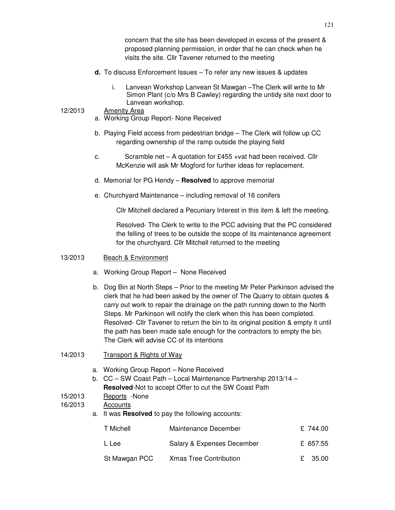concern that the site has been developed in excess of the present & proposed planning permission, in order that he can check when he visits the site. Cllr Tavener returned to the meeting

- **d.** To discuss Enforcement Issues To refer any new issues & updates
	- i. Lanvean Workshop Lanvean St Mawgan –The Clerk will write to Mr Simon Plant (c/o Mrs B Cawley) regarding the untidy site next door to Lanvean workshop.

### 12/2013 Amenity Area

- a. Working Group Report- None Received
- b. Playing Field access from pedestrian bridge The Clerk will follow up CC regarding ownership of the ramp outside the playing field
- c. Scramble net A quotation for £455 +vat had been received. Cllr McKenzie will ask Mr Mogford for further ideas for replacement.
- d. Memorial for PG Hendy **Resolved** to approve memorial
- e. Churchyard Maintenance including removal of 16 conifers

Cllr Mitchell declared a Pecuniary Interest in this item & left the meeting.

Resolved- The Clerk to write to the PCC advising that the PC considered the felling of trees to be outside the scope of its maintenance agreement for the churchyard. Cllr Mitchell returned to the meeting

### 13/2013 Beach & Environment

- a. Working Group Report None Received
- b. Dog Bin at North Steps Prior to the meeting Mr Peter Parkinson advised the clerk that he had been asked by the owner of The Quarry to obtain quotes & carry out work to repair the drainage on the path running down to the North Steps. Mr Parkinson will notify the clerk when this has been completed. Resolved- Cllr Tavener to return the bin to its original position & empty it until the path has been made safe enough for the contractors to empty the bin. The Clerk will advise CC of its intentions

## 14/2013 Transport & Rights of Way

- a. Working Group Report None Received
- b. CC SW Coast Path Local Maintenance Partnership 2013/14 **Resolved**-Not to accept Offer to cut the SW Coast Path
- 15/2013 Reports -None

## 16/2013 Accounts

a. It was **Resolved** to pay the following accounts:

| T Michell     | Maintenance December          | £ 744.00 |
|---------------|-------------------------------|----------|
| L Lee         | Salary & Expenses December    | £ 657.55 |
| St Mawgan PCC | <b>Xmas Tree Contribution</b> | £ 35.00  |